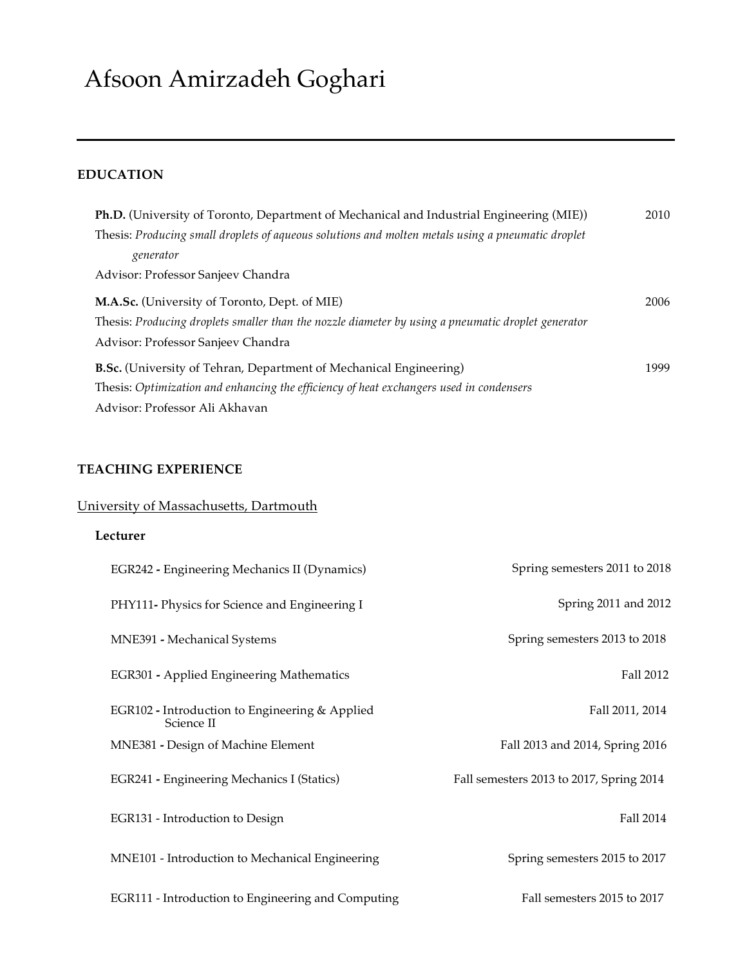# Afsoon Amirzadeh Goghari

# **EDUCATION**

| Ph.D. (University of Toronto, Department of Mechanical and Industrial Engineering (MIE))           |      |  |
|----------------------------------------------------------------------------------------------------|------|--|
| Thesis: Producing small droplets of aqueous solutions and molten metals using a pneumatic droplet  |      |  |
| generator                                                                                          |      |  |
| Advisor: Professor Sanjeev Chandra                                                                 |      |  |
| M.A.Sc. (University of Toronto, Dept. of MIE)                                                      | 2006 |  |
| Thesis: Producing droplets smaller than the nozzle diameter by using a pneumatic droplet generator |      |  |
| Advisor: Professor Sanjeev Chandra                                                                 |      |  |
| <b>B.Sc.</b> (University of Tehran, Department of Mechanical Engineering)                          | 1999 |  |
| Thesis: Optimization and enhancing the efficiency of heat exchangers used in condensers            |      |  |
| Advisor: Professor Ali Akhavan                                                                     |      |  |

# **TEACHING EXPERIENCE**

# University of Massachusetts, Dartmouth

# **Lecturer**

| EGR242 - Engineering Mechanics II (Dynamics)                 | Spring semesters 2011 to 2018            |
|--------------------------------------------------------------|------------------------------------------|
| PHY111- Physics for Science and Engineering I                | Spring 2011 and 2012                     |
| MNE391 - Mechanical Systems                                  | Spring semesters 2013 to 2018            |
| EGR301 - Applied Engineering Mathematics                     | Fall 2012                                |
| EGR102 - Introduction to Engineering & Applied<br>Science II | Fall 2011, 2014                          |
| MNE381 - Design of Machine Element                           | Fall 2013 and 2014, Spring 2016          |
| EGR241 - Engineering Mechanics I (Statics)                   | Fall semesters 2013 to 2017, Spring 2014 |
| EGR131 - Introduction to Design                              | Fall 2014                                |
| MNE101 - Introduction to Mechanical Engineering              | Spring semesters 2015 to 2017            |
| EGR111 - Introduction to Engineering and Computing           | Fall semesters 2015 to 2017              |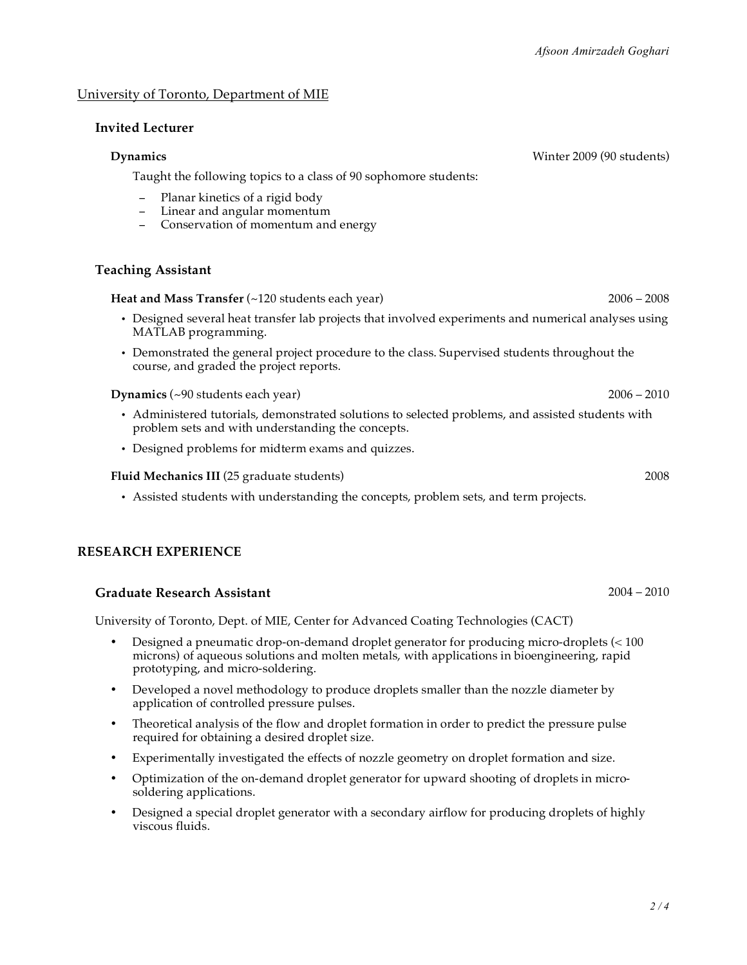#### University of Toronto, Department of MIE

#### **Invited Lecturer**

#### **Dynamics** Winter 2009 (90 students)

Taught the following topics to a class of 90 sophomore students:

- Planar kinetics of a rigid body
- Linear and angular momentum
- − Conservation of momentum and energy

#### **Teaching Assistant**

**Heat and Mass Transfer (~120 students each year) 2006 – 2006 – 2008** 2006 – 2008

- Designed several heat transfer lab projects that involved experiments and numerical analyses using MATLAB programming.
- Demonstrated the general project procedure to the class. Supervised students throughout the course, and graded the project reports.

**Dynamics** (~90 students each year) 2006 – 2010

- Administered tutorials, demonstrated solutions to selected problems, and assisted students with problem sets and with understanding the concepts.
- Designed problems for midterm exams and quizzes.

#### **Fluid Mechanics III** (25 graduate students) 2008

• Assisted students with understanding the concepts, problem sets, and term projects.

#### **RESEARCH EXPERIENCE**

#### **Graduate Research Assistant** 2004 – 2010

University of Toronto, Dept. of MIE, Center for Advanced Coating Technologies (CACT)

- Designed a pneumatic drop-on-demand droplet generator for producing micro-droplets (< 100 microns) of aqueous solutions and molten metals, with applications in bioengineering, rapid prototyping, and micro-soldering.
- Developed a novel methodology to produce droplets smaller than the nozzle diameter by application of controlled pressure pulses.
- Theoretical analysis of the flow and droplet formation in order to predict the pressure pulse required for obtaining a desired droplet size.
- Experimentally investigated the effects of nozzle geometry on droplet formation and size.
- Optimization of the on-demand droplet generator for upward shooting of droplets in microsoldering applications.
- Designed a special droplet generator with a secondary airflow for producing droplets of highly viscous fluids.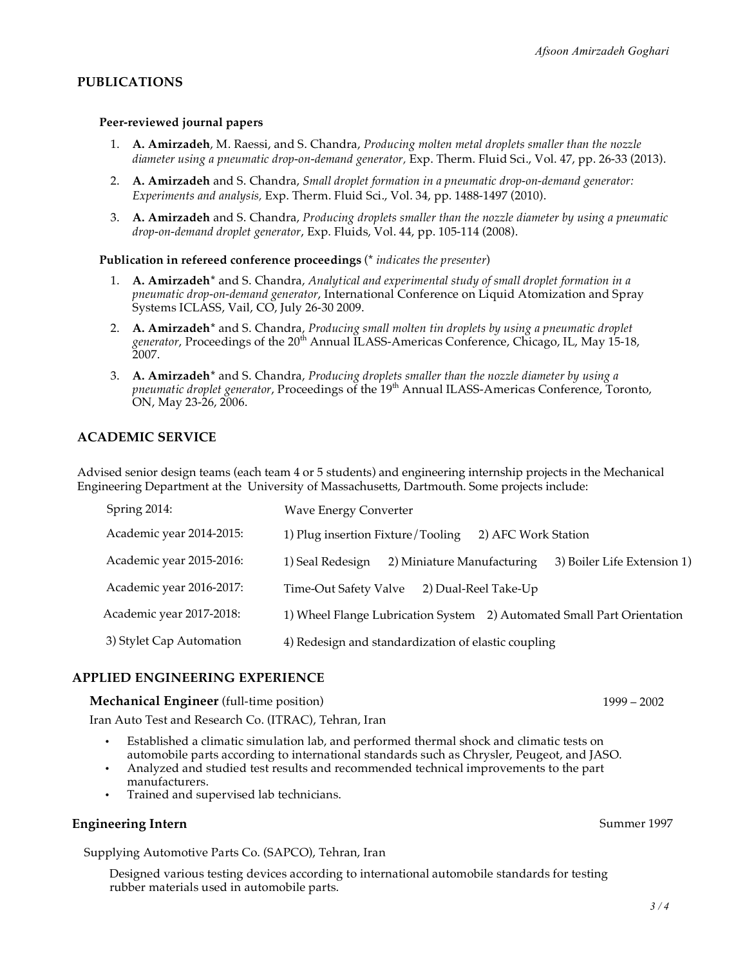#### **PUBLICATIONS**

#### **Peer-reviewed journal papers**

- 1. **A. Amirzadeh**, M. Raessi, and S. Chandra, *Producing molten metal droplets smaller than the nozzle diameter using a pneumatic drop-on-demand generator,* Exp. Therm. Fluid Sci., Vol. 47, pp. 26-33 (2013).
- 2. **A. Amirzadeh** and S. Chandra, *Small droplet formation in a pneumatic drop-on-demand generator: Experiments and analysis,* Exp. Therm. Fluid Sci., Vol. 34, pp. 1488-1497 (2010).
- 3. **A. Amirzadeh** and S. Chandra, *Producing droplets smaller than the nozzle diameter by using a pneumatic drop-on-demand droplet generator*, Exp. Fluids, Vol. 44, pp. 105-114 (2008).

**Publication in refereed conference proceedings** (\* *indicates the presenter*)

- 1. **A. Amirzadeh\*** and S. Chandra, *Analytical and experimental study of small droplet formation in a pneumatic drop-on-demand generator*, International Conference on Liquid Atomization and Spray Systems ICLASS, Vail, CO, July 26-30 2009.
- 2. **A. Amirzadeh\*** and S. Chandra, *Producing small molten tin droplets by using a pneumatic droplet* generator, Proceedings of the 20<sup>th</sup> Annual ILASS-Americas Conference, Chicago, IL, May 15-18, 2007.
- 3. **A. Amirzadeh\*** and S. Chandra, *Producing droplets smaller than the nozzle diameter by using a pneumatic droplet generator*, Proceedings of the 19th Annual ILASS-Americas Conference, Toronto, ON, May 23-26, 2006.

#### **ACADEMIC SERVICE**

Advised senior design teams (each team 4 or 5 students) and engineering internship projects in the Mechanical Engineering Department at the University of Massachusetts, Dartmouth. Some projects include:

| Spring 2014:             | <b>Wave Energy Converter</b>                                                  |
|--------------------------|-------------------------------------------------------------------------------|
| Academic year 2014-2015: | 1) Plug insertion Fixture/Tooling<br>2) AFC Work Station                      |
| Academic year 2015-2016: | 1) Seal Redesign<br>2) Miniature Manufacturing<br>3) Boiler Life Extension 1) |
| Academic year 2016-2017: | 2) Dual-Reel Take-Up<br>Time-Out Safety Valve                                 |
| Academic year 2017-2018: | 1) Wheel Flange Lubrication System 2) Automated Small Part Orientation        |
| 3) Stylet Cap Automation | 4) Redesign and standardization of elastic coupling                           |

#### **APPLIED ENGINEERING EXPERIENCE**

#### **Mechanical Engineer** (full-time position) 1999 – 2002

Iran Auto Test and Research Co. (ITRAC), Tehran, Iran

- Established a climatic simulation lab, and performed thermal shock and climatic tests on automobile parts according to international standards such as Chrysler, Peugeot, and JASO.
- Analyzed and studied test results and recommended technical improvements to the part manufacturers.
- Trained and supervised lab technicians.

#### **Engineering Intern** Summer 1997

Supplying Automotive Parts Co. (SAPCO), Tehran, Iran

Designed various testing devices according to international automobile standards for testing rubber materials used in automobile parts.